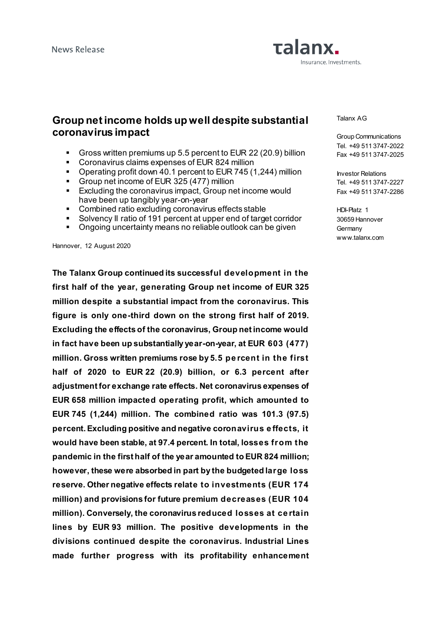# Talanx. Insurance. Investments.

## **Group net income holds up well despite substantial coronavirus impact**

- Gross written premiums up 5.5 percent to EUR 22 (20.9) billion
- Coronavirus claims expenses of EUR 824 million
- Operating profit down 40.1 percent to EUR 745 (1,244) million
- Group net income of EUR 325 (477) million
- **Excluding the coronavirus impact, Group net income would** have been up tangibly year-on-year
- Combined ratio excluding coronavirus effects stable<br>Solvency II ratio of 191 percent at unper and of targe
- Solvency II ratio of 191 percent at upper end of target corridor
- Ongoing uncertainty means no reliable outlook can be given

Hannover, 12 August 2020

**The Talanx Group continued its successful development in the first half of the year, generating Group net income of EUR 325 million despite a substantial impact from the coronavirus. This figure is only one-third down on the strong first half of 2019. Excluding the effects of the coronavirus, Group net income would in fact have been up substantially year-on-year, at EUR 603 (477) million. Gross written premiums rose by 5.5 pe rcent in the first half of 2020 to EUR 22 (20.9) billion, or 6.3 percent after adjustment for exchange rate effects. Net coronavirus expenses of EUR 658 million impacted operating profit, which amounted to EUR 745 (1,244) million. The combined ratio was 101.3 (97.5) percent. Excluding positive and negative coronavirus e ffects, it would have been stable, at 97.4 percent. In total, losses from the pandemic in the first half of the year amounted to EUR 824 million; however, these were absorbed in part by the budgeted large loss reserve. Other negative effects relate to investments (EUR 174 million) and provisions for future premium decreases (EUR 104 million). Conversely, the coronavirus reduced losses at ce rtain lines by EUR 93 million. The positive developments in the divisions continued despite the coronavirus. Industrial Lines made further progress with its profitability enhancement**  Talanx AG

Group Communications Tel. +49 511 3747-2022 Fax +49 511 3747-2025

Investor Relations Tel. +49 511 3747-2227 Fax +49 511 3747-2286

HDI-Platz 1 30659 Hannover **Germany** www.talanx.com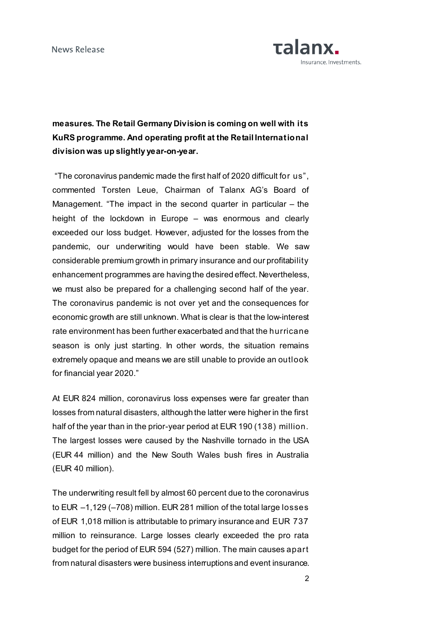

**measures. The Retail Germany Division is coming on well with its KuRS programme. And operating profit at the Retail International division was up slightly year-on-year.**

"The coronavirus pandemic made the first half of 2020 difficult for us", commented Torsten Leue, Chairman of Talanx AG's Board of Management. "The impact in the second quarter in particular – the height of the lockdown in Europe – was enormous and clearly exceeded our loss budget. However, adjusted for the losses from the pandemic, our underwriting would have been stable. We saw considerable premium growth in primary insurance and our profitability enhancement programmes are having the desired effect. Nevertheless, we must also be prepared for a challenging second half of the year. The coronavirus pandemic is not over yet and the consequences for economic growth are still unknown. What is clear is that the low-interest rate environment has been further exacerbated and that the hurricane season is only just starting. In other words, the situation remains extremely opaque and means we are still unable to provide an outlook for financial year 2020."

At EUR 824 million, coronavirus loss expenses were far greater than losses from natural disasters, although the latter were higher in the first half of the year than in the prior-year period at EUR 190 (138) million. The largest losses were caused by the Nashville tornado in the USA (EUR 44 million) and the New South Wales bush fires in Australia (EUR 40 million).

The underwriting result fell by almost 60 percent due to the coronavirus to EUR –1,129 (–708) million. EUR 281 million of the total large losses of EUR 1,018 million is attributable to primary insurance and EUR 737 million to reinsurance. Large losses clearly exceeded the pro rata budget for the period of EUR 594 (527) million. The main causes apart from natural disasters were business interruptions and event insurance.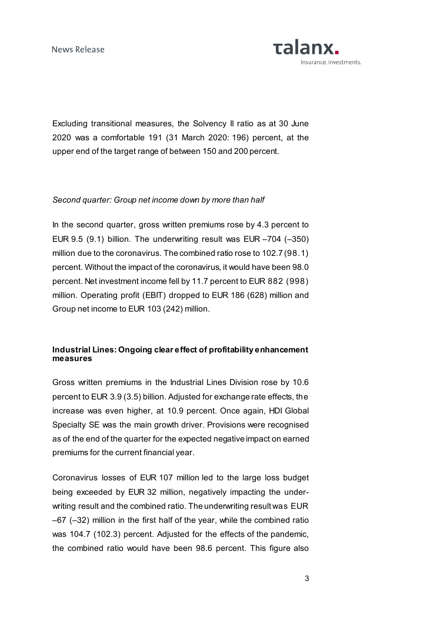

Excluding transitional measures, the Solvency II ratio as at 30 June 2020 was a comfortable 191 (31 March 2020: 196) percent, at the upper end of the target range of between 150 and 200 percent.

#### *Second quarter: Group net income down by more than half*

In the second quarter, gross written premiums rose by 4.3 percent to EUR 9.5 (9.1) billion. The underwriting result was EUR –704 (–350) million due to the coronavirus. The combined ratio rose to 102.7 (98.1) percent. Without the impact of the coronavirus, it would have been 98.0 percent. Net investment income fell by 11.7 percent to EUR 882 (998) million. Operating profit (EBIT) dropped to EUR 186 (628) million and Group net income to EUR 103 (242) million.

## **Industrial Lines: Ongoing clear effect of profitability enhancement measures**

Gross written premiums in the Industrial Lines Division rose by 10.6 percent to EUR 3.9 (3.5) billion. Adjusted for exchange rate effects, the increase was even higher, at 10.9 percent. Once again, HDI Global Specialty SE was the main growth driver. Provisions were recognised as of the end of the quarter for the expected negative impact on earned premiums for the current financial year.

Coronavirus losses of EUR 107 million led to the large loss budget being exceeded by EUR 32 million, negatively impacting the underwriting result and the combined ratio. The underwriting result was EUR –67 (–32) million in the first half of the year, while the combined ratio was 104.7 (102.3) percent. Adjusted for the effects of the pandemic, the combined ratio would have been 98.6 percent. This figure also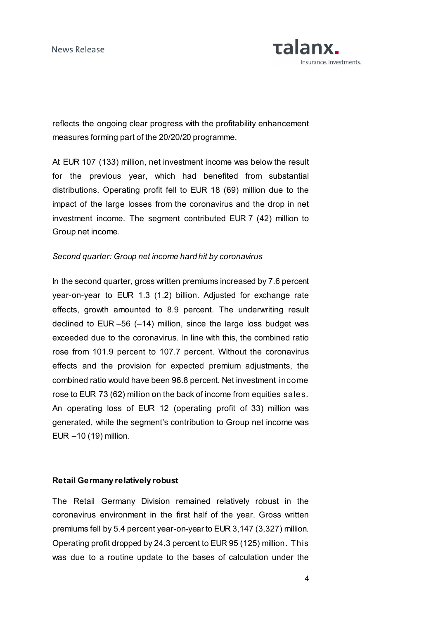

reflects the ongoing clear progress with the profitability enhancement measures forming part of the 20/20/20 programme.

At EUR 107 (133) million, net investment income was below the result for the previous year, which had benefited from substantial distributions. Operating profit fell to EUR 18 (69) million due to the impact of the large losses from the coronavirus and the drop in net investment income. The segment contributed EUR 7 (42) million to Group net income.

#### *Second quarter: Group net income hard hit by coronavirus*

In the second quarter, gross written premiums increased by 7.6 percent year-on-year to EUR 1.3 (1.2) billion. Adjusted for exchange rate effects, growth amounted to 8.9 percent. The underwriting result declined to EUR –56 (–14) million, since the large loss budget was exceeded due to the coronavirus. In line with this, the combined ratio rose from 101.9 percent to 107.7 percent. Without the coronavirus effects and the provision for expected premium adjustments, the combined ratio would have been 96.8 percent. Net investment income rose to EUR 73 (62) million on the back of income from equities sales. An operating loss of EUR 12 (operating profit of 33) million was generated, while the segment's contribution to Group net income was EUR –10 (19) million.

#### **Retail Germany relatively robust**

The Retail Germany Division remained relatively robust in the coronavirus environment in the first half of the year. Gross written premiums fell by 5.4 percent year-on-year to EUR 3,147 (3,327) million. Operating profit dropped by 24.3 percent to EUR 95 (125) million. This was due to a routine update to the bases of calculation under the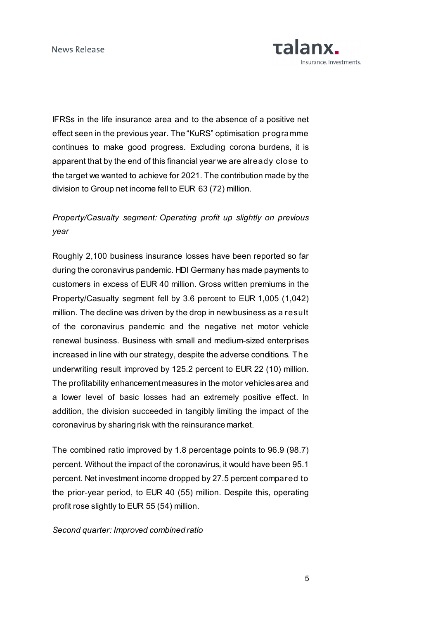

IFRSs in the life insurance area and to the absence of a positive net effect seen in the previous year. The "KuRS" optimisation programme continues to make good progress. Excluding corona burdens, it is apparent that by the end of this financial year we are already close to the target we wanted to achieve for 2021. The contribution made by the division to Group net income fell to EUR 63 (72) million.

## *Property/Casualty segment: Operating profit up slightly on previous year*

Roughly 2,100 business insurance losses have been reported so far during the coronavirus pandemic. HDI Germany has made payments to customers in excess of EUR 40 million. Gross written premiums in the Property/Casualty segment fell by 3.6 percent to EUR 1,005 (1,042) million. The decline was driven by the drop in new business as a result of the coronavirus pandemic and the negative net motor vehicle renewal business. Business with small and medium-sized enterprises increased in line with our strategy, despite the adverse conditions. The underwriting result improved by 125.2 percent to EUR 22 (10) million. The profitability enhancement measures in the motor vehicles area and a lower level of basic losses had an extremely positive effect. In addition, the division succeeded in tangibly limiting the impact of the coronavirus by sharing risk with the reinsurance market.

The combined ratio improved by 1.8 percentage points to 96.9 (98.7) percent. Without the impact of the coronavirus, it would have been 95.1 percent. Net investment income dropped by 27.5 percent compared to the prior-year period, to EUR 40 (55) million. Despite this, operating profit rose slightly to EUR 55 (54) million.

## *Second quarter: Improved combined ratio*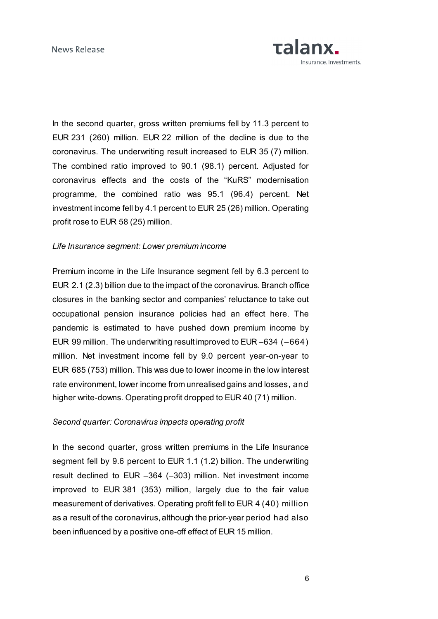

In the second quarter, gross written premiums fell by 11.3 percent to EUR 231 (260) million. EUR 22 million of the decline is due to the coronavirus. The underwriting result increased to EUR 35 (7) million. The combined ratio improved to 90.1 (98.1) percent. Adjusted for coronavirus effects and the costs of the "KuRS" modernisation programme, the combined ratio was 95.1 (96.4) percent. Net investment income fell by 4.1 percent to EUR 25 (26) million. Operating profit rose to EUR 58 (25) million.

#### *Life Insurance segment: Lower premium income*

Premium income in the Life Insurance segment fell by 6.3 percent to EUR 2.1 (2.3) billion due to the impact of the coronavirus. Branch office closures in the banking sector and companies' reluctance to take out occupational pension insurance policies had an effect here. The pandemic is estimated to have pushed down premium income by EUR 99 million. The underwriting result improved to EUR –634 (–664) million. Net investment income fell by 9.0 percent year-on-year to EUR 685 (753) million. This was due to lower income in the low interest rate environment, lower income from unrealised gains and losses, and higher write-downs. Operating profit dropped to EUR 40 (71) million.

## *Second quarter: Coronavirus impacts operating profit*

In the second quarter, gross written premiums in the Life Insurance segment fell by 9.6 percent to EUR 1.1 (1.2) billion. The underwriting result declined to EUR –364 (–303) million. Net investment income improved to EUR 381 (353) million, largely due to the fair value measurement of derivatives. Operating profit fell to EUR 4 (40) million as a result of the coronavirus, although the prior-year period had also been influenced by a positive one-off effect of EUR 15 million.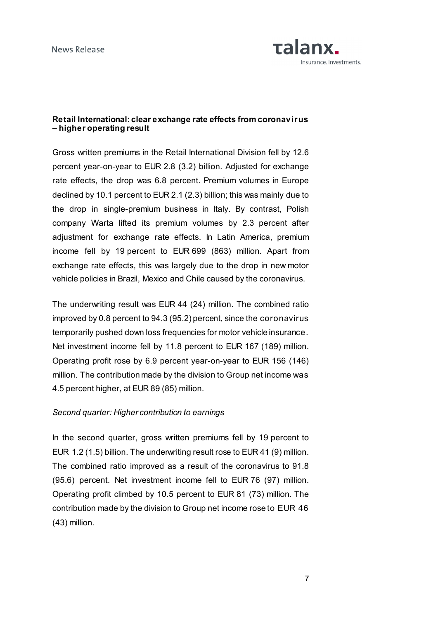

## **Retail International: clear exchange rate effects from coronavirus – higher operating result**

Gross written premiums in the Retail International Division fell by 12.6 percent year-on-year to EUR 2.8 (3.2) billion. Adjusted for exchange rate effects, the drop was 6.8 percent. Premium volumes in Europe declined by 10.1 percent to EUR 2.1 (2.3) billion; this was mainly due to the drop in single-premium business in Italy. By contrast, Polish company Warta lifted its premium volumes by 2.3 percent after adjustment for exchange rate effects. In Latin America, premium income fell by 19 percent to EUR 699 (863) million. Apart from exchange rate effects, this was largely due to the drop in new motor vehicle policies in Brazil, Mexico and Chile caused by the coronavirus.

The underwriting result was EUR 44 (24) million. The combined ratio improved by 0.8 percent to 94.3 (95.2) percent, since the coronavirus temporarily pushed down loss frequencies for motor vehicle insurance. Net investment income fell by 11.8 percent to EUR 167 (189) million. Operating profit rose by 6.9 percent year-on-year to EUR 156 (146) million. The contribution made by the division to Group net income was 4.5 percent higher, at EUR 89 (85) million.

#### *Second quarter: Higher contribution to earnings*

In the second quarter, gross written premiums fell by 19 percent to EUR 1.2 (1.5) billion. The underwriting result rose to EUR 41 (9) million. The combined ratio improved as a result of the coronavirus to 91.8 (95.6) percent. Net investment income fell to EUR 76 (97) million. Operating profit climbed by 10.5 percent to EUR 81 (73) million. The contribution made by the division to Group net income rose to EUR 46 (43) million.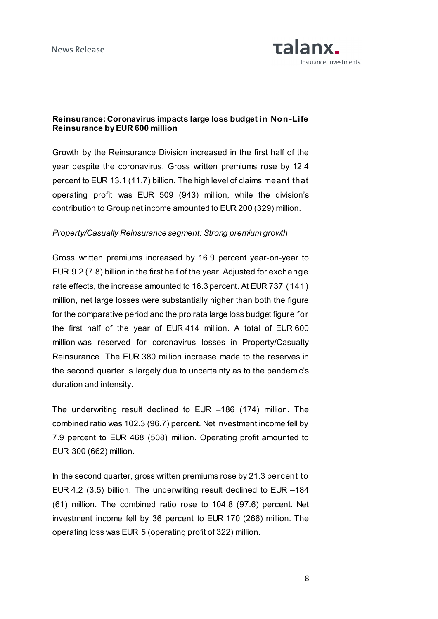

## **Reinsurance: Coronavirus impacts large loss budget in Non-Life Reinsurance by EUR 600 million**

Growth by the Reinsurance Division increased in the first half of the year despite the coronavirus. Gross written premiums rose by 12.4 percent to EUR 13.1 (11.7) billion. The high level of claims meant that operating profit was EUR 509 (943) million, while the division's contribution to Group net income amounted to EUR 200 (329) million.

### *Property/Casualty Reinsurance segment: Strong premium growth*

Gross written premiums increased by 16.9 percent year-on-year to EUR 9.2 (7.8) billion in the first half of the year. Adjusted for exchange rate effects, the increase amounted to 16.3 percent. At EUR 737 (141) million, net large losses were substantially higher than both the figure for the comparative period and the pro rata large loss budget figure for the first half of the year of EUR 414 million. A total of EUR 600 million was reserved for coronavirus losses in Property/Casualty Reinsurance. The EUR 380 million increase made to the reserves in the second quarter is largely due to uncertainty as to the pandemic's duration and intensity.

The underwriting result declined to EUR –186 (174) million. The combined ratio was 102.3 (96.7) percent. Net investment income fell by 7.9 percent to EUR 468 (508) million. Operating profit amounted to EUR 300 (662) million.

In the second quarter, gross written premiums rose by 21.3 percent to EUR 4.2 (3.5) billion. The underwriting result declined to EUR –184 (61) million. The combined ratio rose to 104.8 (97.6) percent. Net investment income fell by 36 percent to EUR 170 (266) million. The operating loss was EUR 5 (operating profit of 322) million.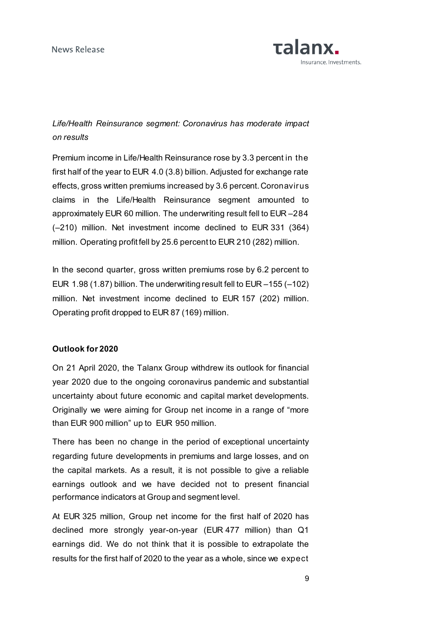

## *Life/Health Reinsurance segment: Coronavirus has moderate impact on results*

Premium income in Life/Health Reinsurance rose by 3.3 percent in the first half of the year to EUR 4.0 (3.8) billion. Adjusted for exchange rate effects, gross written premiums increased by 3.6 percent. Coronavirus claims in the Life/Health Reinsurance segment amounted to approximately EUR 60 million. The underwriting result fell to EUR –284 (–210) million. Net investment income declined to EUR 331 (364) million. Operating profit fell by 25.6 percent to EUR 210 (282) million.

In the second quarter, gross written premiums rose by 6.2 percent to EUR 1.98 (1.87) billion. The underwriting result fell to EUR –155 (–102) million. Net investment income declined to EUR 157 (202) million. Operating profit dropped to EUR 87 (169) million.

## **Outlook for 2020**

On 21 April 2020, the Talanx Group withdrew its outlook for financial year 2020 due to the ongoing coronavirus pandemic and substantial uncertainty about future economic and capital market developments. Originally we were aiming for Group net income in a range of "more than EUR 900 million" up to EUR 950 million.

There has been no change in the period of exceptional uncertainty regarding future developments in premiums and large losses, and on the capital markets. As a result, it is not possible to give a reliable earnings outlook and we have decided not to present financial performance indicators at Group and segment level.

At EUR 325 million, Group net income for the first half of 2020 has declined more strongly year-on-year (EUR 477 million) than Q1 earnings did. We do not think that it is possible to extrapolate the results for the first half of 2020 to the year as a whole, since we expect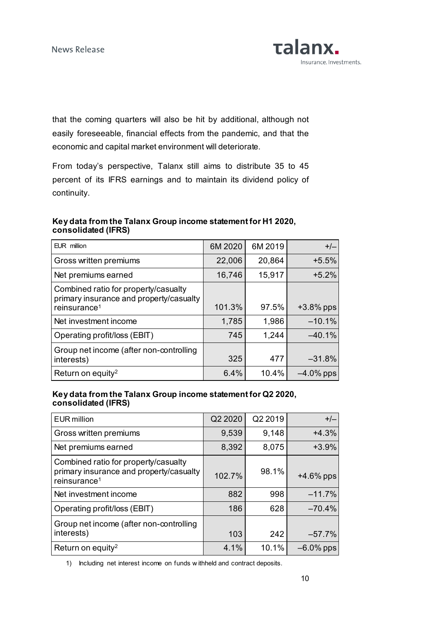

that the coming quarters will also be hit by additional, although not easily foreseeable, financial effects from the pandemic, and that the economic and capital market environment will deteriorate.

From today's perspective, Talanx still aims to distribute 35 to 45 percent of its IFRS earnings and to maintain its dividend policy of continuity.

## **Key data from the Talanx Group income statement for H1 2020, consolidated (IFRS)**

| EUR million                                                                                                 | 6M 2020 | 6M 2019 | $+/-$        |
|-------------------------------------------------------------------------------------------------------------|---------|---------|--------------|
| Gross written premiums                                                                                      | 22,006  | 20,864  | $+5.5%$      |
| Net premiums earned                                                                                         | 16,746  | 15,917  | $+5.2%$      |
| Combined ratio for property/casualty<br>primary insurance and property/casualty<br>reinsurance <sup>1</sup> | 101.3%  | 97.5%   | $+3.8\%$ pps |
| Net investment income                                                                                       | 1,785   | 1,986   | $-10.1%$     |
| Operating profit/loss (EBIT)                                                                                | 745     | 1,244   | $-40.1%$     |
| Group net income (after non-controlling<br>interests)                                                       | 325     | 477     | $-31.8%$     |
| Return on equity <sup>2</sup>                                                                               | 6.4%    | 10.4%   | $-4.0\%$ pps |

## **Key data from the Talanx Group income statement for Q2 2020, consolidated (IFRS)**

| <b>EUR million</b>                                                                                          | Q2 2020 | Q2 2019 | $+/-$        |
|-------------------------------------------------------------------------------------------------------------|---------|---------|--------------|
| Gross written premiums                                                                                      | 9,539   | 9,148   | $+4.3%$      |
| Net premiums earned                                                                                         | 8,392   | 8,075   | $+3.9%$      |
| Combined ratio for property/casualty<br>primary insurance and property/casualty<br>reinsurance <sup>1</sup> | 102.7%  | 98.1%   | $+4.6\%$ pps |
| Net investment income                                                                                       | 882     | 998     | $-11.7%$     |
| Operating profit/loss (EBIT)                                                                                | 186     | 628     | $-70.4%$     |
| Group net income (after non-controlling<br>interests)                                                       | 103     | 242     | $-57.7%$     |
| Return on equity <sup>2</sup>                                                                               | 4.1%    | 10.1%   | $-6.0\%$ pps |

1) Including net interest income on funds w ithheld and contract deposits.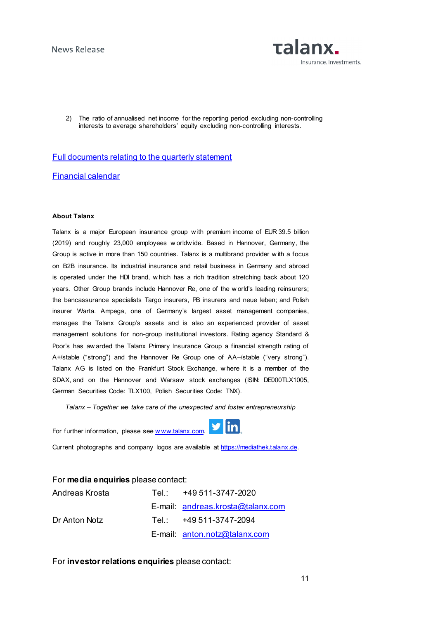

2) The ratio of annualised net income for the reporting period excluding non-controlling interests to average shareholders' equity excluding non-controlling interests.

#### [Full documents relating to the quarterly statement](https://www.talanx.com/investor-relations/presentations-and-events/disclosure/2020.aspx?sc_lang=en)

[Financial calendar](https://www.talanx.com/investor-relations/finanzkalender/termine.aspx?sc_lang=en)

#### **About Talanx**

Talanx is a major European insurance group w ith premium income of EUR 39.5 billion (2019) and roughly 23,000 employees w orldw ide. Based in Hannover, Germany, the Group is active in more than 150 countries. Talanx is a multibrand provider w ith a focus on B2B insurance. Its industrial insurance and retail business in Germany and abroad is operated under the HDI brand, w hich has a rich tradition stretching back about 120 years. Other Group brands include Hannover Re, one of the w orld's leading reinsurers; the bancassurance specialists Targo insurers, PB insurers and neue leben; and Polish insurer Warta. Ampega, one of Germany's largest asset management companies, manages the Talanx Group's assets and is also an experienced provider of asset management solutions for non-group institutional investors. Rating agency Standard & Poor's has aw arded the Talanx Primary Insurance Group a financial strength rating of A+/stable ("strong") and the Hannover Re Group one of AA–/stable ("very strong"). Talanx AG is listed on the Frankfurt Stock Exchange, w here it is a member of the SDAX, and on the Hannover and Warsaw stock exchanges (ISIN: DE000TLX1005, German Securities Code: TLX100, Polish Securities Code: TNX).

*Talanx – Together we take care of the unexpected and foster entrepreneurship*

For further information, please see www.talanx.com.



Current photographs and company logos are available at [https://mediathek.talanx.de.](https://mediathek.talanx.de/)

#### For **media enquiries** please contact:

| Andreas Krosta | Tel.: +49 511-3747-2020           |
|----------------|-----------------------------------|
|                | E-mail: andreas.krosta@talanx.com |
| Dr Anton Notz  | Tel.: +49 511-3747-2094           |
|                | E-mail: anton.notz@talanx.com     |

For **investor relations enquiries** please contact: